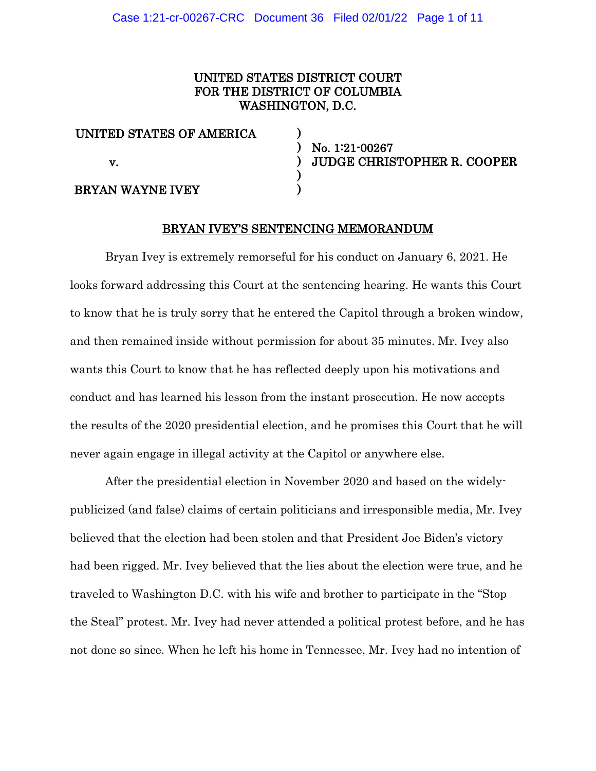# UNITED STATES DISTRICT COURT FOR THE DISTRICT OF COLUMBIA WASHINGTON, D.C.

) ) ) ) )

| UNITED STATES OF AMERICA |  |
|--------------------------|--|
| V.                       |  |
| BRYAN WAYNE IVEY         |  |

No. 1:21-00267 JUDGE CHRISTOPHER R. COOPER

## BRYAN IVEY'S SENTENCING MEMORANDUM

Bryan Ivey is extremely remorseful for his conduct on January 6, 2021. He looks forward addressing this Court at the sentencing hearing. He wants this Court to know that he is truly sorry that he entered the Capitol through a broken window, and then remained inside without permission for about 35 minutes. Mr. Ivey also wants this Court to know that he has reflected deeply upon his motivations and conduct and has learned his lesson from the instant prosecution. He now accepts the results of the 2020 presidential election, and he promises this Court that he will never again engage in illegal activity at the Capitol or anywhere else.

After the presidential election in November 2020 and based on the widelypublicized (and false) claims of certain politicians and irresponsible media, Mr. Ivey believed that the election had been stolen and that President Joe Biden's victory had been rigged. Mr. Ivey believed that the lies about the election were true, and he traveled to Washington D.C. with his wife and brother to participate in the "Stop the Steal" protest. Mr. Ivey had never attended a political protest before, and he has not done so since. When he left his home in Tennessee, Mr. Ivey had no intention of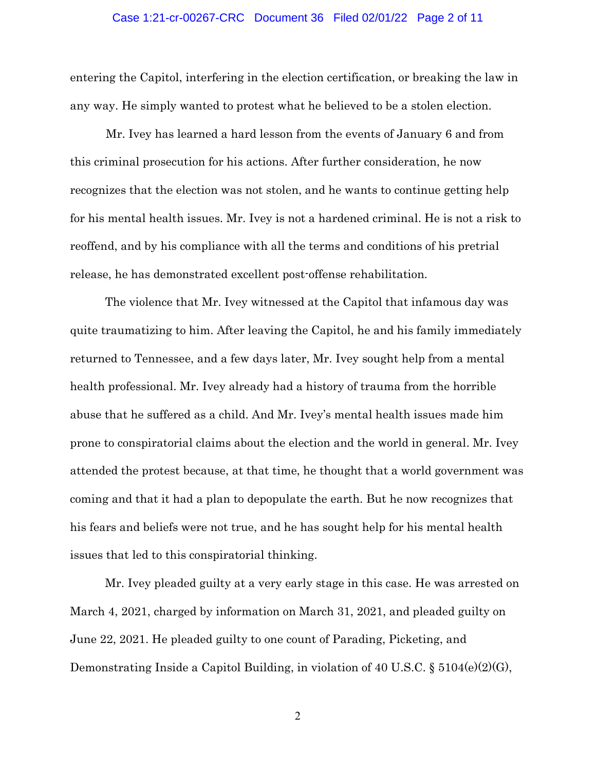#### Case 1:21-cr-00267-CRC Document 36 Filed 02/01/22 Page 2 of 11

entering the Capitol, interfering in the election certification, or breaking the law in any way. He simply wanted to protest what he believed to be a stolen election.

 Mr. Ivey has learned a hard lesson from the events of January 6 and from this criminal prosecution for his actions. After further consideration, he now recognizes that the election was not stolen, and he wants to continue getting help for his mental health issues. Mr. Ivey is not a hardened criminal. He is not a risk to reoffend, and by his compliance with all the terms and conditions of his pretrial release, he has demonstrated excellent post-offense rehabilitation.

The violence that Mr. Ivey witnessed at the Capitol that infamous day was quite traumatizing to him. After leaving the Capitol, he and his family immediately returned to Tennessee, and a few days later, Mr. Ivey sought help from a mental health professional. Mr. Ivey already had a history of trauma from the horrible abuse that he suffered as a child. And Mr. Ivey's mental health issues made him prone to conspiratorial claims about the election and the world in general. Mr. Ivey attended the protest because, at that time, he thought that a world government was coming and that it had a plan to depopulate the earth. But he now recognizes that his fears and beliefs were not true, and he has sought help for his mental health issues that led to this conspiratorial thinking.

Mr. Ivey pleaded guilty at a very early stage in this case. He was arrested on March 4, 2021, charged by information on March 31, 2021, and pleaded guilty on June 22, 2021. He pleaded guilty to one count of Parading, Picketing, and Demonstrating Inside a Capitol Building, in violation of 40 U.S.C. § 5104(e)(2)(G),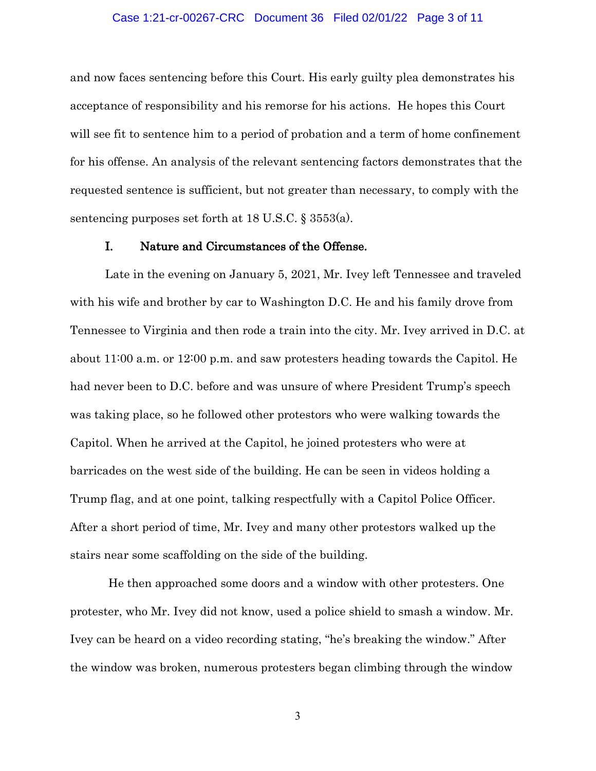## Case 1:21-cr-00267-CRC Document 36 Filed 02/01/22 Page 3 of 11

and now faces sentencing before this Court. His early guilty plea demonstrates his acceptance of responsibility and his remorse for his actions. He hopes this Court will see fit to sentence him to a period of probation and a term of home confinement for his offense. An analysis of the relevant sentencing factors demonstrates that the requested sentence is sufficient, but not greater than necessary, to comply with the sentencing purposes set forth at 18 U.S.C. § 3553(a).

## I. Nature and Circumstances of the Offense.

Late in the evening on January 5, 2021, Mr. Ivey left Tennessee and traveled with his wife and brother by car to Washington D.C. He and his family drove from Tennessee to Virginia and then rode a train into the city. Mr. Ivey arrived in D.C. at about 11:00 a.m. or 12:00 p.m. and saw protesters heading towards the Capitol. He had never been to D.C. before and was unsure of where President Trump's speech was taking place, so he followed other protestors who were walking towards the Capitol. When he arrived at the Capitol, he joined protesters who were at barricades on the west side of the building. He can be seen in videos holding a Trump flag, and at one point, talking respectfully with a Capitol Police Officer. After a short period of time, Mr. Ivey and many other protestors walked up the stairs near some scaffolding on the side of the building.

He then approached some doors and a window with other protesters. One protester, who Mr. Ivey did not know, used a police shield to smash a window. Mr. Ivey can be heard on a video recording stating, "he's breaking the window." After the window was broken, numerous protesters began climbing through the window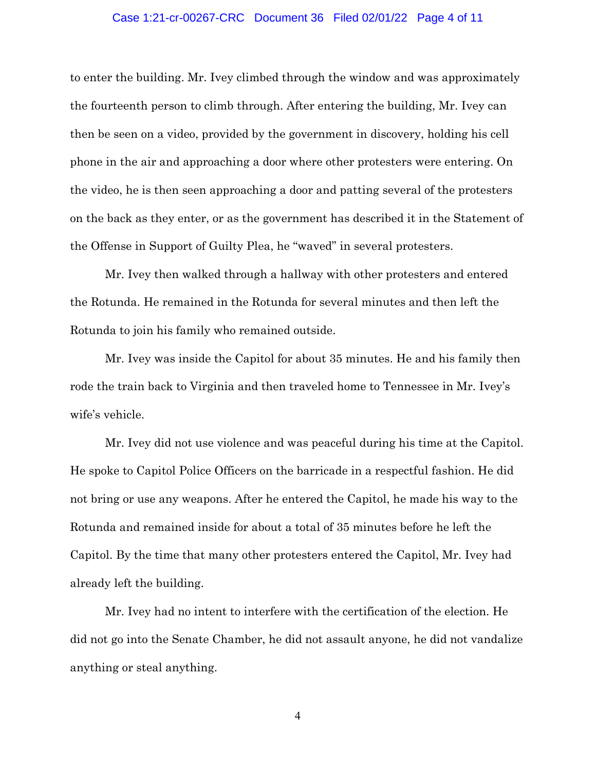## Case 1:21-cr-00267-CRC Document 36 Filed 02/01/22 Page 4 of 11

to enter the building. Mr. Ivey climbed through the window and was approximately the fourteenth person to climb through. After entering the building, Mr. Ivey can then be seen on a video, provided by the government in discovery, holding his cell phone in the air and approaching a door where other protesters were entering. On the video, he is then seen approaching a door and patting several of the protesters on the back as they enter, or as the government has described it in the Statement of the Offense in Support of Guilty Plea, he "waved" in several protesters.

Mr. Ivey then walked through a hallway with other protesters and entered the Rotunda. He remained in the Rotunda for several minutes and then left the Rotunda to join his family who remained outside.

Mr. Ivey was inside the Capitol for about 35 minutes. He and his family then rode the train back to Virginia and then traveled home to Tennessee in Mr. Ivey's wife's vehicle.

Mr. Ivey did not use violence and was peaceful during his time at the Capitol. He spoke to Capitol Police Officers on the barricade in a respectful fashion. He did not bring or use any weapons. After he entered the Capitol, he made his way to the Rotunda and remained inside for about a total of 35 minutes before he left the Capitol. By the time that many other protesters entered the Capitol, Mr. Ivey had already left the building.

Mr. Ivey had no intent to interfere with the certification of the election. He did not go into the Senate Chamber, he did not assault anyone, he did not vandalize anything or steal anything.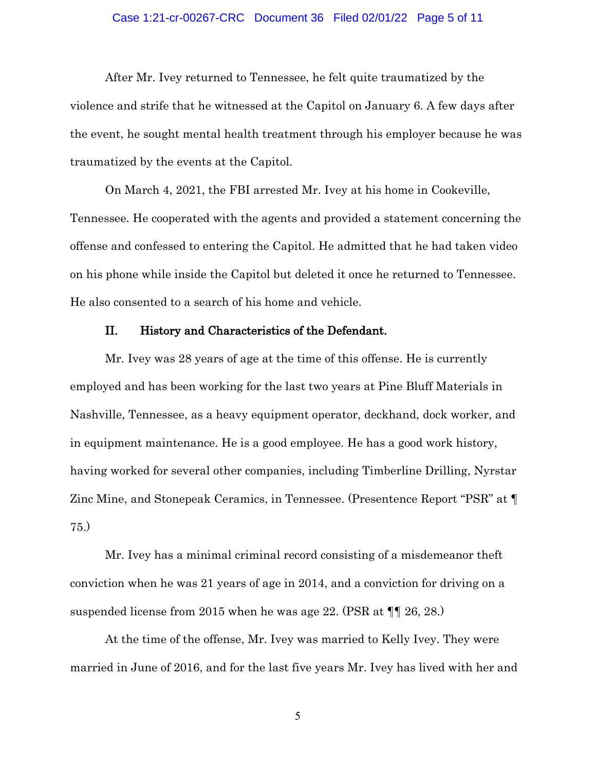## Case 1:21-cr-00267-CRC Document 36 Filed 02/01/22 Page 5 of 11

After Mr. Ivey returned to Tennessee, he felt quite traumatized by the violence and strife that he witnessed at the Capitol on January 6. A few days after the event, he sought mental health treatment through his employer because he was traumatized by the events at the Capitol.

On March 4, 2021, the FBI arrested Mr. Ivey at his home in Cookeville, Tennessee. He cooperated with the agents and provided a statement concerning the offense and confessed to entering the Capitol. He admitted that he had taken video on his phone while inside the Capitol but deleted it once he returned to Tennessee. He also consented to a search of his home and vehicle.

## II. History and Characteristics of the Defendant.

Mr. Ivey was 28 years of age at the time of this offense. He is currently employed and has been working for the last two years at Pine Bluff Materials in Nashville, Tennessee, as a heavy equipment operator, deckhand, dock worker, and in equipment maintenance. He is a good employee. He has a good work history, having worked for several other companies, including Timberline Drilling, Nyrstar Zinc Mine, and Stonepeak Ceramics, in Tennessee. (Presentence Report "PSR" at ¶ 75.)

Mr. Ivey has a minimal criminal record consisting of a misdemeanor theft conviction when he was 21 years of age in 2014, and a conviction for driving on a suspended license from 2015 when he was age 22. (PSR at ¶¶ 26, 28.)

At the time of the offense, Mr. Ivey was married to Kelly Ivey. They were married in June of 2016, and for the last five years Mr. Ivey has lived with her and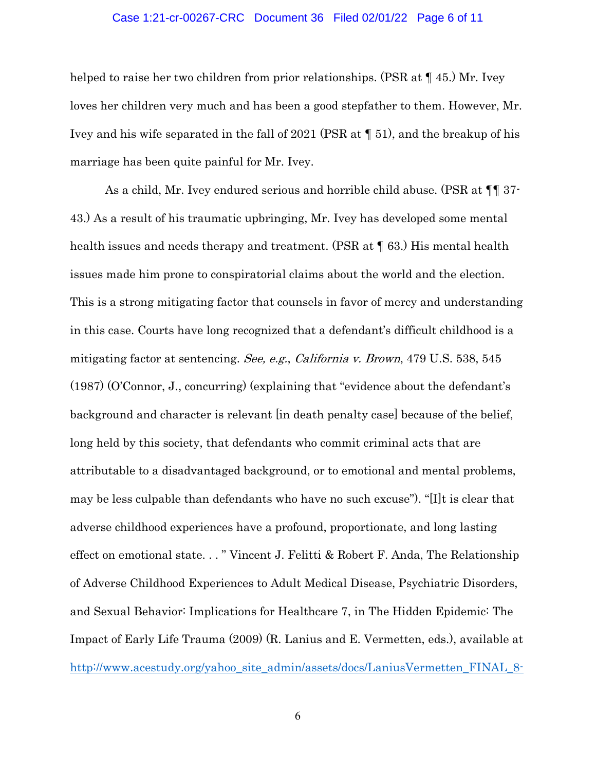#### Case 1:21-cr-00267-CRC Document 36 Filed 02/01/22 Page 6 of 11

helped to raise her two children from prior relationships. (PSR at  $\P$  45.) Mr. Ivey loves her children very much and has been a good stepfather to them. However, Mr. Ivey and his wife separated in the fall of 2021 (PSR at ¶ 51), and the breakup of his marriage has been quite painful for Mr. Ivey.

As a child, Mr. Ivey endured serious and horrible child abuse. (PSR at ¶¶ 37- 43.) As a result of his traumatic upbringing, Mr. Ivey has developed some mental health issues and needs therapy and treatment. (PSR at  $\P$  63.) His mental health issues made him prone to conspiratorial claims about the world and the election. This is a strong mitigating factor that counsels in favor of mercy and understanding in this case. Courts have long recognized that a defendant's difficult childhood is a mitigating factor at sentencing. See, e.g., California v. Brown, 479 U.S. 538, 545 (1987) (O'Connor, J., concurring) (explaining that "evidence about the defendant's background and character is relevant [in death penalty case] because of the belief, long held by this society, that defendants who commit criminal acts that are attributable to a disadvantaged background, or to emotional and mental problems, may be less culpable than defendants who have no such excuse"). "[I]t is clear that adverse childhood experiences have a profound, proportionate, and long lasting effect on emotional state. . . " Vincent J. Felitti & Robert F. Anda, The Relationship of Adverse Childhood Experiences to Adult Medical Disease, Psychiatric Disorders, and Sexual Behavior: Implications for Healthcare 7, in The Hidden Epidemic: The Impact of Early Life Trauma (2009) (R. Lanius and E. Vermetten, eds.), available at [http://www.acestudy.org/yahoo\\_site\\_admin/assets/docs/LaniusVermetten\\_FINAL\\_8-](http://www.acestudy.org/yahoo_site_admin/assets/docs/LaniusVermetten_FINAL_8-26-%2009.12892303.pdf)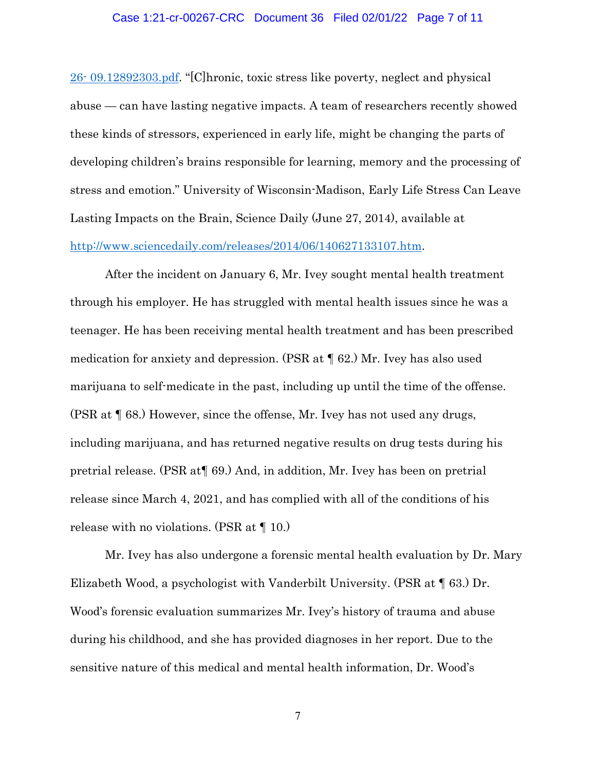## Case 1:21-cr-00267-CRC Document 36 Filed 02/01/22 Page 7 of 11

26- [09.12892303.pdf.](http://www.acestudy.org/yahoo_site_admin/assets/docs/LaniusVermetten_FINAL_8-26-%2009.12892303.pdf) "[C]hronic, toxic stress like poverty, neglect and physical abuse — can have lasting negative impacts. A team of researchers recently showed these kinds of stressors, experienced in early life, might be changing the parts of developing children's brains responsible for learning, memory and the processing of stress and emotion." University of Wisconsin-Madison, Early Life Stress Can Leave Lasting Impacts on the Brain, Science Daily (June 27, 2014), available at [http://www.sciencedaily.com/releases/2014/06/140627133107.htm.](http://www.sciencedaily.com/releases/2014/06/140627133107.htm)

After the incident on January 6, Mr. Ivey sought mental health treatment through his employer. He has struggled with mental health issues since he was a teenager. He has been receiving mental health treatment and has been prescribed medication for anxiety and depression. (PSR at ¶ 62.) Mr. Ivey has also used marijuana to self-medicate in the past, including up until the time of the offense. (PSR at ¶ 68.) However, since the offense, Mr. Ivey has not used any drugs, including marijuana, and has returned negative results on drug tests during his pretrial release. (PSR at¶ 69.) And, in addition, Mr. Ivey has been on pretrial release since March 4, 2021, and has complied with all of the conditions of his release with no violations. (PSR at ¶ 10.)

Mr. Ivey has also undergone a forensic mental health evaluation by Dr. Mary Elizabeth Wood, a psychologist with Vanderbilt University. (PSR at ¶ 63.) Dr. Wood's forensic evaluation summarizes Mr. Ivey's history of trauma and abuse during his childhood, and she has provided diagnoses in her report. Due to the sensitive nature of this medical and mental health information, Dr. Wood's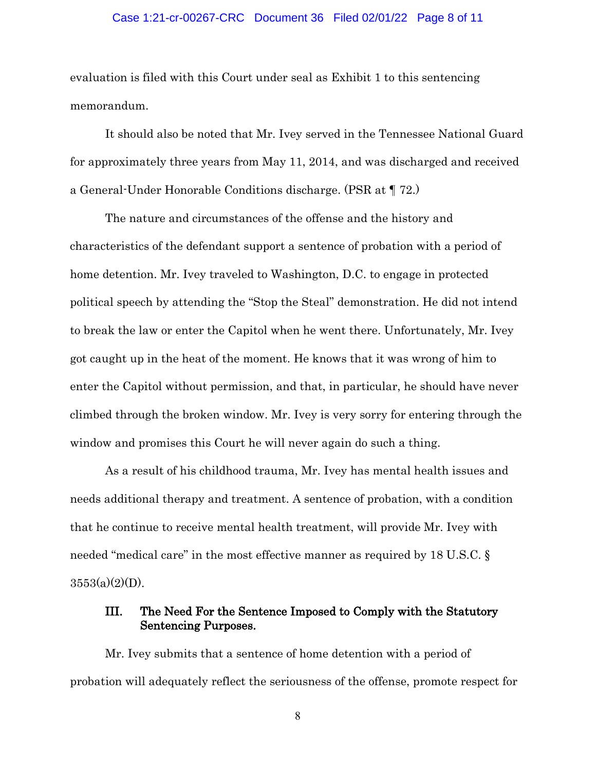## Case 1:21-cr-00267-CRC Document 36 Filed 02/01/22 Page 8 of 11

evaluation is filed with this Court under seal as Exhibit 1 to this sentencing memorandum.

It should also be noted that Mr. Ivey served in the Tennessee National Guard for approximately three years from May 11, 2014, and was discharged and received a General-Under Honorable Conditions discharge. (PSR at ¶ 72.)

The nature and circumstances of the offense and the history and characteristics of the defendant support a sentence of probation with a period of home detention. Mr. Ivey traveled to Washington, D.C. to engage in protected political speech by attending the "Stop the Steal" demonstration. He did not intend to break the law or enter the Capitol when he went there. Unfortunately, Mr. Ivey got caught up in the heat of the moment. He knows that it was wrong of him to enter the Capitol without permission, and that, in particular, he should have never climbed through the broken window. Mr. Ivey is very sorry for entering through the window and promises this Court he will never again do such a thing.

As a result of his childhood trauma, Mr. Ivey has mental health issues and needs additional therapy and treatment. A sentence of probation, with a condition that he continue to receive mental health treatment, will provide Mr. Ivey with needed "medical care" in the most effective manner as required by 18 U.S.C. §  $3553(a)(2)(D)$ .

# III. The Need For the Sentence Imposed to Comply with the Statutory Sentencing Purposes.

Mr. Ivey submits that a sentence of home detention with a period of probation will adequately reflect the seriousness of the offense, promote respect for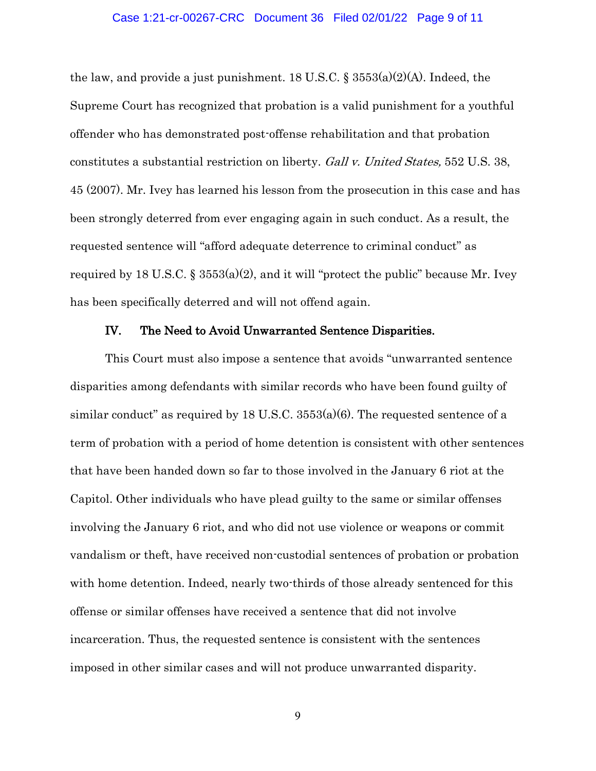## Case 1:21-cr-00267-CRC Document 36 Filed 02/01/22 Page 9 of 11

the law, and provide a just punishment. 18 U.S.C.  $\S$  3553(a)(2)(A). Indeed, the Supreme Court has recognized that probation is a valid punishment for a youthful offender who has demonstrated post-offense rehabilitation and that probation constitutes a substantial restriction on liberty. Gall v. United States, 552 U.S. 38, 45 (2007). Mr. Ivey has learned his lesson from the prosecution in this case and has been strongly deterred from ever engaging again in such conduct. As a result, the requested sentence will "afford adequate deterrence to criminal conduct" as required by 18 U.S.C. §  $3553(a)(2)$ , and it will "protect the public" because Mr. Ivey has been specifically deterred and will not offend again.

## IV. The Need to Avoid Unwarranted Sentence Disparities.

This Court must also impose a sentence that avoids "unwarranted sentence disparities among defendants with similar records who have been found guilty of similar conduct" as required by 18 U.S.C.  $3553(a)(6)$ . The requested sentence of a term of probation with a period of home detention is consistent with other sentences that have been handed down so far to those involved in the January 6 riot at the Capitol. Other individuals who have plead guilty to the same or similar offenses involving the January 6 riot, and who did not use violence or weapons or commit vandalism or theft, have received non-custodial sentences of probation or probation with home detention. Indeed, nearly two-thirds of those already sentenced for this offense or similar offenses have received a sentence that did not involve incarceration. Thus, the requested sentence is consistent with the sentences imposed in other similar cases and will not produce unwarranted disparity.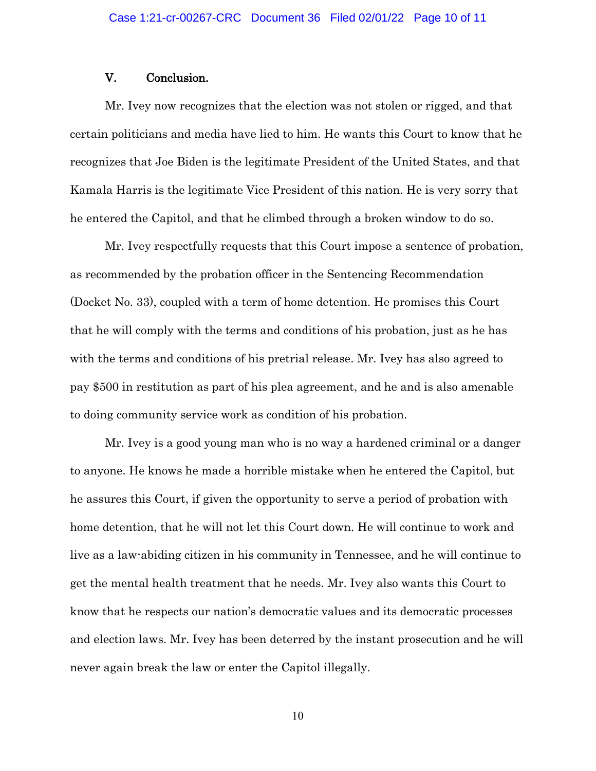## V. Conclusion.

Mr. Ivey now recognizes that the election was not stolen or rigged, and that certain politicians and media have lied to him. He wants this Court to know that he recognizes that Joe Biden is the legitimate President of the United States, and that Kamala Harris is the legitimate Vice President of this nation. He is very sorry that he entered the Capitol, and that he climbed through a broken window to do so.

Mr. Ivey respectfully requests that this Court impose a sentence of probation, as recommended by the probation officer in the Sentencing Recommendation (Docket No. 33), coupled with a term of home detention. He promises this Court that he will comply with the terms and conditions of his probation, just as he has with the terms and conditions of his pretrial release. Mr. Ivey has also agreed to pay \$500 in restitution as part of his plea agreement, and he and is also amenable to doing community service work as condition of his probation.

Mr. Ivey is a good young man who is no way a hardened criminal or a danger to anyone. He knows he made a horrible mistake when he entered the Capitol, but he assures this Court, if given the opportunity to serve a period of probation with home detention, that he will not let this Court down. He will continue to work and live as a law-abiding citizen in his community in Tennessee, and he will continue to get the mental health treatment that he needs. Mr. Ivey also wants this Court to know that he respects our nation's democratic values and its democratic processes and election laws. Mr. Ivey has been deterred by the instant prosecution and he will never again break the law or enter the Capitol illegally.